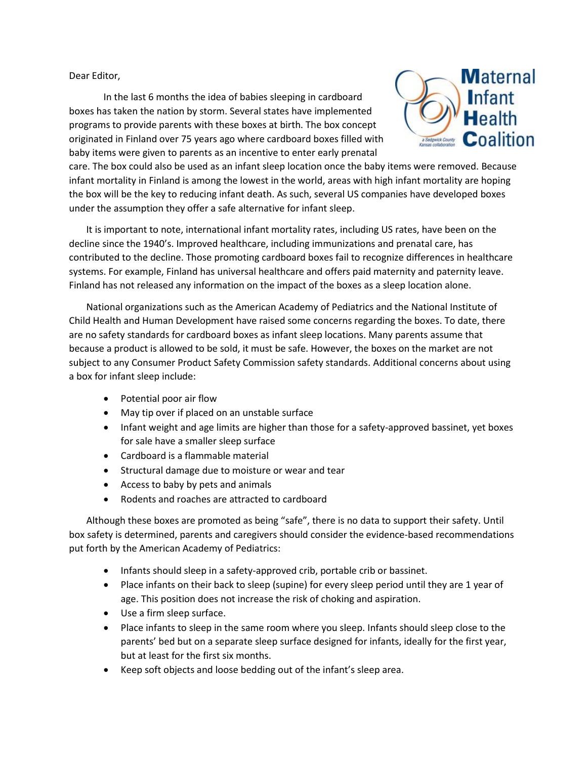Dear Editor,

In the last 6 months the idea of babies sleeping in cardboard boxes has taken the nation by storm. Several states have implemented programs to provide parents with these boxes at birth. The box concept originated in Finland over 75 years ago where cardboard boxes filled with baby items were given to parents as an incentive to enter early prenatal



care. The box could also be used as an infant sleep location once the baby items were removed. Because infant mortality in Finland is among the lowest in the world, areas with high infant mortality are hoping the box will be the key to reducing infant death. As such, several US companies have developed boxes under the assumption they offer a safe alternative for infant sleep.

It is important to note, international infant mortality rates, including US rates, have been on the decline since the 1940's. Improved healthcare, including immunizations and prenatal care, has contributed to the decline. Those promoting cardboard boxes fail to recognize differences in healthcare systems. For example, Finland has universal healthcare and offers paid maternity and paternity leave. Finland has not released any information on the impact of the boxes as a sleep location alone.

National organizations such as the American Academy of Pediatrics and the National Institute of Child Health and Human Development have raised some concerns regarding the boxes. To date, there are no safety standards for cardboard boxes as infant sleep locations. Many parents assume that because a product is allowed to be sold, it must be safe. However, the boxes on the market are not subject to any Consumer Product Safety Commission safety standards. Additional concerns about using a box for infant sleep include:

- Potential poor air flow
- May tip over if placed on an unstable surface
- Infant weight and age limits are higher than those for a safety-approved bassinet, yet boxes for sale have a smaller sleep surface
- Cardboard is a flammable material
- Structural damage due to moisture or wear and tear
- Access to baby by pets and animals
- Rodents and roaches are attracted to cardboard

Although these boxes are promoted as being "safe", there is no data to support their safety. Until box safety is determined, parents and caregivers should consider the evidence-based recommendations put forth by the American Academy of Pediatrics:

- Infants should sleep in a safety-approved crib, portable crib or bassinet.
- Place infants on their back to sleep (supine) for every sleep period until they are 1 year of age. This position does not increase the risk of choking and aspiration.
- Use a firm sleep surface.
- Place infants to sleep in the same room where you sleep. Infants should sleep close to the parents' bed but on a separate sleep surface designed for infants, ideally for the first year, but at least for the first six months.
- Keep soft objects and loose bedding out of the infant's sleep area.